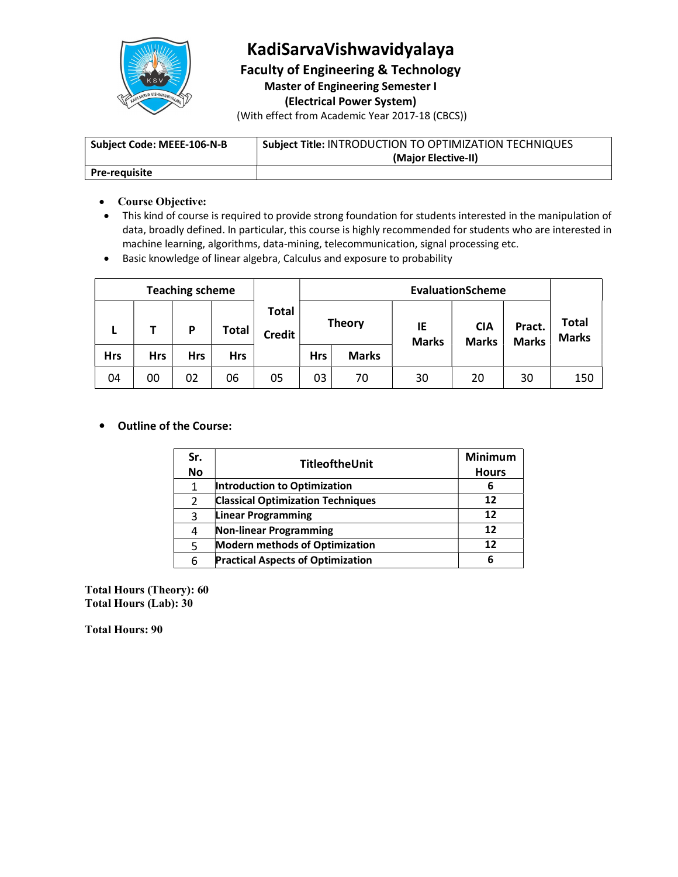

## KadiSarvaVishwavidyalaya

Faculty of Engineering & Technology

Master of Engineering Semester I

(Electrical Power System)

(With effect from Academic Year 2017-18 (CBCS))

| Subject Code: MEEE-106-N-B | <b>Subject Title: INTRODUCTION TO OPTIMIZATION TECHNIQUES</b> |
|----------------------------|---------------------------------------------------------------|
|                            | (Major Elective-II)                                           |
| <b>Pre-requisite</b>       |                                                               |

- Course Objective:
- This kind of course is required to provide strong foundation for students interested in the manipulation of data, broadly defined. In particular, this course is highly recommended for students who are interested in machine learning, algorithms, data-mining, telecommunication, signal processing etc.
- Basic knowledge of linear algebra, Calculus and exposure to probability

|            |            | <b>Teaching scheme</b> |              |                               |               |              | <b>EvaluationScheme</b> |                            |                        |                              |
|------------|------------|------------------------|--------------|-------------------------------|---------------|--------------|-------------------------|----------------------------|------------------------|------------------------------|
| ь          |            | D                      | <b>Total</b> | <b>Total</b><br><b>Credit</b> | <b>Theory</b> |              | IE<br><b>Marks</b>      | <b>CIA</b><br><b>Marks</b> | Pract.<br><b>Marks</b> | <b>Total</b><br><b>Marks</b> |
| <b>Hrs</b> | <b>Hrs</b> | <b>Hrs</b>             | <b>Hrs</b>   |                               | <b>Hrs</b>    | <b>Marks</b> |                         |                            |                        |                              |
| 04         | 00         | 02                     | 06           | 05                            | 03            | 70           | 30                      | 20                         | 30                     | 150                          |

### Outline of the Course:

| Sr.       | TitleoftheUnit                           | <b>Minimum</b> |
|-----------|------------------------------------------|----------------|
| <b>No</b> |                                          | <b>Hours</b>   |
|           | Introduction to Optimization             | 6              |
|           | <b>Classical Optimization Techniques</b> | 12             |
|           | <b>Linear Programming</b>                | 12             |
|           | Non-linear Programming                   | 12             |
|           | <b>Modern methods of Optimization</b>    | 12             |
|           | <b>Practical Aspects of Optimization</b> |                |

Total Hours (Theory): 60 Total Hours (Lab): 30

Total Hours: 90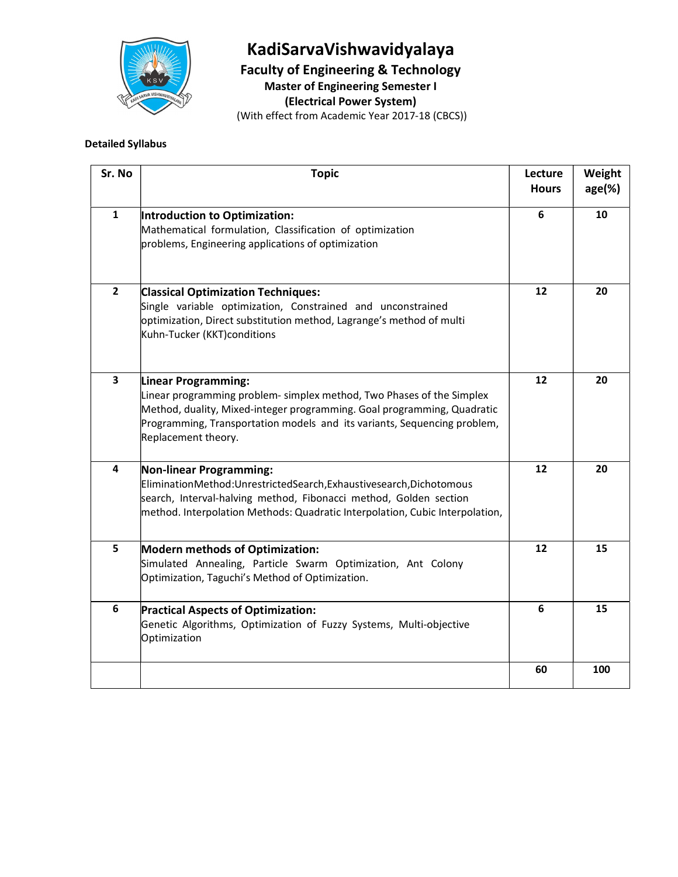

# KadiSarvaVishwavidyalaya

Faculty of Engineering & Technology

Master of Engineering Semester I

(Electrical Power System)

(With effect from Academic Year 2017-18 (CBCS))

### Detailed Syllabus

| Sr. No         | <b>Topic</b>                                                                                                                                                                                                                                                               | Lecture<br><b>Hours</b> | Weight<br>$age(\%)$ |
|----------------|----------------------------------------------------------------------------------------------------------------------------------------------------------------------------------------------------------------------------------------------------------------------------|-------------------------|---------------------|
| ${\bf 1}$      | Introduction to Optimization:<br>Mathematical formulation, Classification of optimization<br>problems, Engineering applications of optimization                                                                                                                            | 6                       | 10                  |
| $\overline{2}$ | <b>Classical Optimization Techniques:</b><br>Single variable optimization, Constrained and unconstrained<br>optimization, Direct substitution method, Lagrange's method of multi<br>Kuhn-Tucker (KKT)conditions                                                            | 12                      | 20                  |
| $\mathbf{3}$   | Linear Programming:<br>Linear programming problem- simplex method, Two Phases of the Simplex<br>Method, duality, Mixed-integer programming. Goal programming, Quadratic<br>Programming, Transportation models and its variants, Sequencing problem,<br>Replacement theory. | 12                      | 20                  |
| 4              | <b>Non-linear Programming:</b><br>EliminationMethod:UnrestrictedSearch,Exhaustivesearch,Dichotomous<br>search, Interval-halving method, Fibonacci method, Golden section<br>method. Interpolation Methods: Quadratic Interpolation, Cubic Interpolation,                   | 12                      | 20                  |
| 5              | <b>Modern methods of Optimization:</b><br>Simulated Annealing, Particle Swarm Optimization, Ant Colony<br>Optimization, Taguchi's Method of Optimization.                                                                                                                  | 12                      | 15                  |
| 6              | <b>Practical Aspects of Optimization:</b><br>Genetic Algorithms, Optimization of Fuzzy Systems, Multi-objective<br>Optimization                                                                                                                                            | 6                       | 15                  |
|                |                                                                                                                                                                                                                                                                            | 60                      | 100                 |